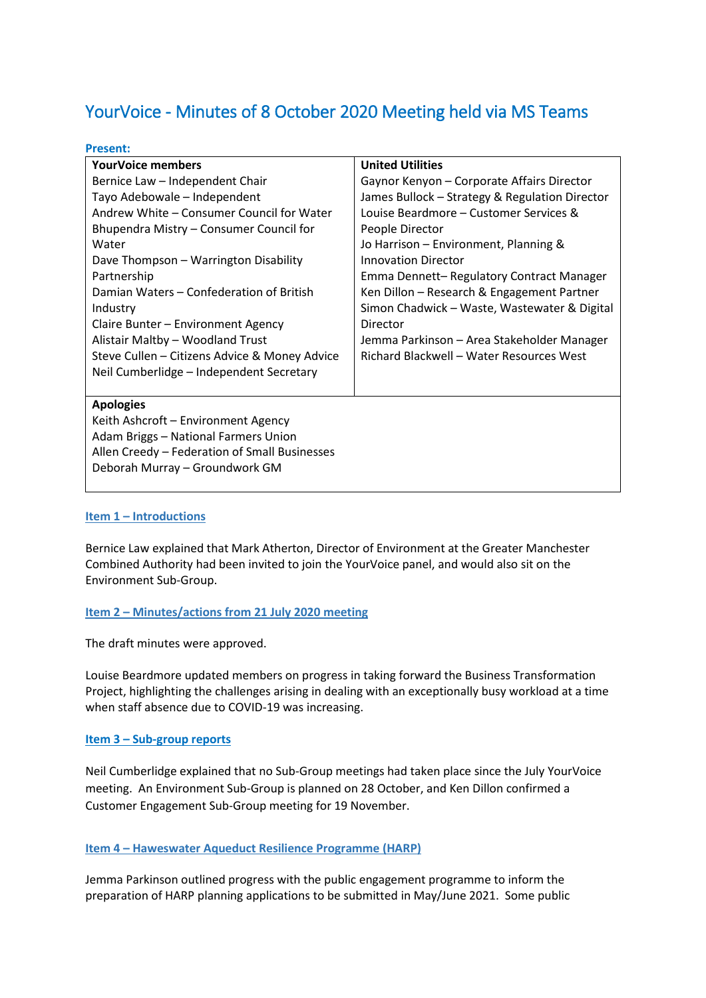# YourVoice - Minutes of 8 October 2020 Meeting held via MS Teams

#### **Present:**

| <b>YourVoice members</b>                      | <b>United Utilities</b>                        |
|-----------------------------------------------|------------------------------------------------|
| Bernice Law - Independent Chair               | Gaynor Kenyon - Corporate Affairs Director     |
| Tayo Adebowale - Independent                  | James Bullock – Strategy & Regulation Director |
| Andrew White – Consumer Council for Water     | Louise Beardmore - Customer Services &         |
| Bhupendra Mistry - Consumer Council for       | People Director                                |
| Water                                         | Jo Harrison - Environment, Planning &          |
| Dave Thompson - Warrington Disability         | <b>Innovation Director</b>                     |
| Partnership                                   | Emma Dennett-Regulatory Contract Manager       |
| Damian Waters - Confederation of British      | Ken Dillon - Research & Engagement Partner     |
| Industry                                      | Simon Chadwick – Waste, Wastewater & Digital   |
| Claire Bunter - Environment Agency            | Director                                       |
| Alistair Maltby - Woodland Trust              | Jemma Parkinson – Area Stakeholder Manager     |
| Steve Cullen – Citizens Advice & Money Advice | Richard Blackwell - Water Resources West       |
| Neil Cumberlidge - Independent Secretary      |                                                |
|                                               |                                                |
| <b>Apologies</b>                              |                                                |
| Keith Ashcroft - Environment Agency           |                                                |
| Adam Briggs - National Farmers Union          |                                                |
| Allen Creedy - Federation of Small Businesses |                                                |
| Deborah Murray - Groundwork GM                |                                                |
|                                               |                                                |

#### **Item 1 – Introductions**

Bernice Law explained that Mark Atherton, Director of Environment at the Greater Manchester Combined Authority had been invited to join the YourVoice panel, and would also sit on the Environment Sub-Group.

#### **Item 2 – Minutes/actions from 21 July 2020 meeting**

The draft minutes were approved.

Louise Beardmore updated members on progress in taking forward the Business Transformation Project, highlighting the challenges arising in dealing with an exceptionally busy workload at a time when staff absence due to COVID-19 was increasing.

#### **Item 3 – Sub-group reports**

Neil Cumberlidge explained that no Sub-Group meetings had taken place since the July YourVoice meeting. An Environment Sub-Group is planned on 28 October, and Ken Dillon confirmed a Customer Engagement Sub-Group meeting for 19 November.

#### **Item 4 – Haweswater Aqueduct Resilience Programme (HARP)**

Jemma Parkinson outlined progress with the public engagement programme to inform the preparation of HARP planning applications to be submitted in May/June 2021. Some public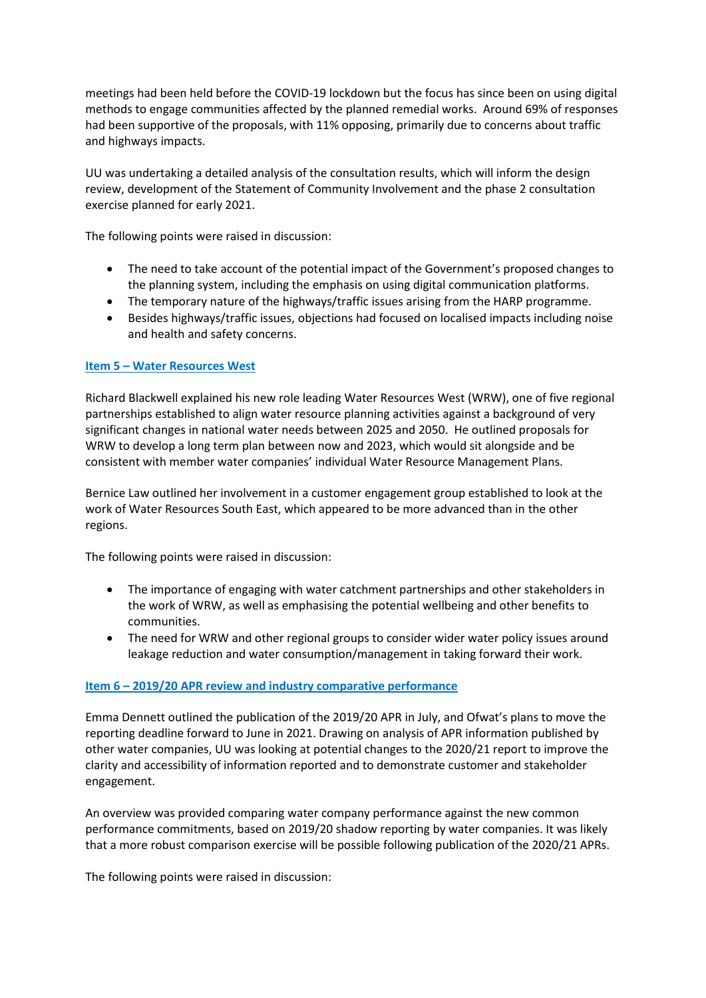meetings had been held before the COVID-19 lockdown but the focus has since been on using digital methods to engage communities affected by the planned remedial works. Around 69% of responses had been supportive of the proposals, with 11% opposing, primarily due to concerns about traffic and highways impacts.

UU was undertaking a detailed analysis of the consultation results, which will inform the design review, development of the Statement of Community Involvement and the phase 2 consultation exercise planned for early 2021.

The following points were raised in discussion:

- The need to take account of the potential impact of the Government's proposed changes to the planning system, including the emphasis on using digital communication platforms.
- The temporary nature of the highways/traffic issues arising from the HARP programme.
- Besides highways/traffic issues, objections had focused on localised impacts including noise and health and safety concerns.

# **Item 5 – Water Resources West**

Richard Blackwell explained his new role leading Water Resources West (WRW), one of five regional partnerships established to align water resource planning activities against a background of very significant changes in national water needs between 2025 and 2050. He outlined proposals for WRW to develop a long term plan between now and 2023, which would sit alongside and be consistent with member water companies' individual Water Resource Management Plans.

Bernice Law outlined her involvement in a customer engagement group established to look at the work of Water Resources South East, which appeared to be more advanced than in the other regions.

The following points were raised in discussion:

- The importance of engaging with water catchment partnerships and other stakeholders in the work of WRW, as well as emphasising the potential wellbeing and other benefits to communities.
- The need for WRW and other regional groups to consider wider water policy issues around leakage reduction and water consumption/management in taking forward their work.

#### **Item 6 – 2019/20 APR review and industry comparative performance**

Emma Dennett outlined the publication of the 2019/20 APR in July, and Ofwat's plans to move the reporting deadline forward to June in 2021. Drawing on analysis of APR information published by other water companies, UU was looking at potential changes to the 2020/21 report to improve the clarity and accessibility of information reported and to demonstrate customer and stakeholder engagement.

An overview was provided comparing water company performance against the new common performance commitments, based on 2019/20 shadow reporting by water companies. It was likely that a more robust comparison exercise will be possible following publication of the 2020/21 APRs.

The following points were raised in discussion: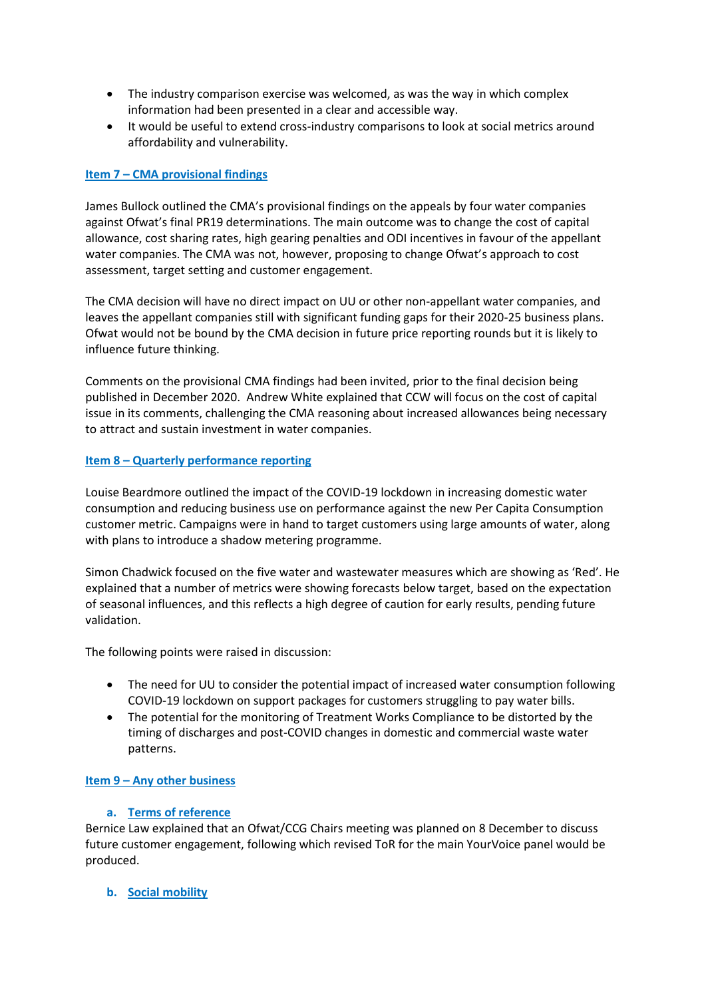- The industry comparison exercise was welcomed, as was the way in which complex information had been presented in a clear and accessible way.
- It would be useful to extend cross-industry comparisons to look at social metrics around affordability and vulnerability.

# **Item 7 – CMA provisional findings**

James Bullock outlined the CMA's provisional findings on the appeals by four water companies against Ofwat's final PR19 determinations. The main outcome was to change the cost of capital allowance, cost sharing rates, high gearing penalties and ODI incentives in favour of the appellant water companies. The CMA was not, however, proposing to change Ofwat's approach to cost assessment, target setting and customer engagement.

The CMA decision will have no direct impact on UU or other non-appellant water companies, and leaves the appellant companies still with significant funding gaps for their 2020-25 business plans. Ofwat would not be bound by the CMA decision in future price reporting rounds but it is likely to influence future thinking.

Comments on the provisional CMA findings had been invited, prior to the final decision being published in December 2020. Andrew White explained that CCW will focus on the cost of capital issue in its comments, challenging the CMA reasoning about increased allowances being necessary to attract and sustain investment in water companies.

# **Item 8 – Quarterly performance reporting**

Louise Beardmore outlined the impact of the COVID-19 lockdown in increasing domestic water consumption and reducing business use on performance against the new Per Capita Consumption customer metric. Campaigns were in hand to target customers using large amounts of water, along with plans to introduce a shadow metering programme.

Simon Chadwick focused on the five water and wastewater measures which are showing as 'Red'. He explained that a number of metrics were showing forecasts below target, based on the expectation of seasonal influences, and this reflects a high degree of caution for early results, pending future validation.

The following points were raised in discussion:

- The need for UU to consider the potential impact of increased water consumption following COVID-19 lockdown on support packages for customers struggling to pay water bills.
- The potential for the monitoring of Treatment Works Compliance to be distorted by the timing of discharges and post-COVID changes in domestic and commercial waste water patterns.

#### **Item 9 – Any other business**

#### **a. Terms of reference**

Bernice Law explained that an Ofwat/CCG Chairs meeting was planned on 8 December to discuss future customer engagement, following which revised ToR for the main YourVoice panel would be produced.

**b. Social mobility**